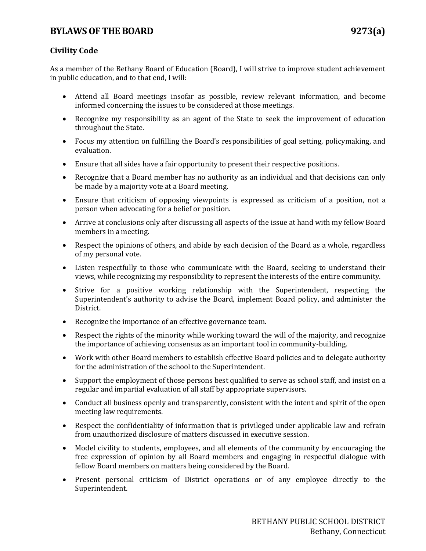# **BYLAWS OF THE BOARD 9273(a)**

### **Civility Code**

As a member of the Bethany Board of Education (Board), I will strive to improve student achievement in public education, and to that end, I will:

- Attend all Board meetings insofar as possible, review relevant information, and become informed concerning the issues to be considered at those meetings.
- Recognize my responsibility as an agent of the State to seek the improvement of education throughout the State.
- Focus my attention on fulfilling the Board's responsibilities of goal setting, policymaking, and evaluation.
- Ensure that all sides have a fair opportunity to present their respective positions.
- Recognize that a Board member has no authority as an individual and that decisions can only be made by a majority vote at a Board meeting.
- Ensure that criticism of opposing viewpoints is expressed as criticism of a position, not a person when advocating for a belief or position.
- Arrive at conclusions only after discussing all aspects of the issue at hand with my fellow Board members in a meeting.
- Respect the opinions of others, and abide by each decision of the Board as a whole, regardless of my personal vote.
- Listen respectfully to those who communicate with the Board, seeking to understand their views, while recognizing my responsibility to represent the interests of the entire community.
- Strive for a positive working relationship with the Superintendent, respecting the Superintendent's authority to advise the Board, implement Board policy, and administer the District.
- Recognize the importance of an effective governance team.
- Respect the rights of the minority while working toward the will of the majority, and recognize the importance of achieving consensus as an important tool in community-building.
- Work with other Board members to establish effective Board policies and to delegate authority for the administration of the school to the Superintendent.
- Support the employment of those persons best qualified to serve as school staff, and insist on a regular and impartial evaluation of all staff by appropriate supervisors.
- Conduct all business openly and transparently, consistent with the intent and spirit of the open meeting law requirements.
- Respect the confidentiality of information that is privileged under applicable law and refrain from unauthorized disclosure of matters discussed in executive session.
- Model civility to students, employees, and all elements of the community by encouraging the free expression of opinion by all Board members and engaging in respectful dialogue with fellow Board members on matters being considered by the Board.
- Present personal criticism of District operations or of any employee directly to the Superintendent.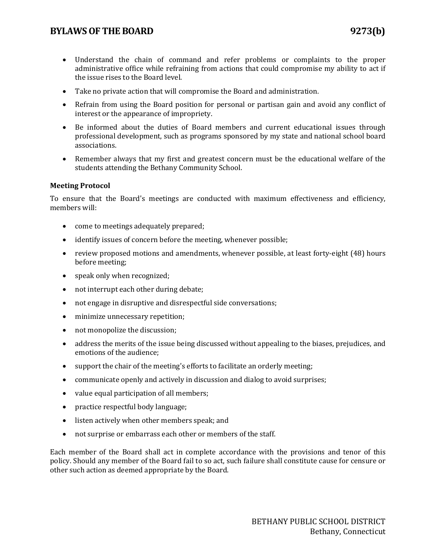## **BYLAWS OF THE BOARD 9273(b)**

- Understand the chain of command and refer problems or complaints to the proper administrative office while refraining from actions that could compromise my ability to act if the issue rises to the Board level.
- Take no private action that will compromise the Board and administration.
- Refrain from using the Board position for personal or partisan gain and avoid any conflict of interest or the appearance of impropriety.
- Be informed about the duties of Board members and current educational issues through professional development, such as programs sponsored by my state and national school board associations.
- Remember always that my first and greatest concern must be the educational welfare of the students attending the Bethany Community School.

### **Meeting Protocol**

To ensure that the Board's meetings are conducted with maximum effectiveness and efficiency, members will:

- come to meetings adequately prepared;
- identify issues of concern before the meeting, whenever possible;
- review proposed motions and amendments, whenever possible, at least forty-eight (48) hours before meeting;
- speak only when recognized;
- not interrupt each other during debate;
- not engage in disruptive and disrespectful side conversations;
- minimize unnecessary repetition;
- not monopolize the discussion;
- address the merits of the issue being discussed without appealing to the biases, prejudices, and emotions of the audience;
- support the chair of the meeting's efforts to facilitate an orderly meeting;
- communicate openly and actively in discussion and dialog to avoid surprises;
- value equal participation of all members;
- practice respectful body language;
- listen actively when other members speak; and
- not surprise or embarrass each other or members of the staff.

Each member of the Board shall act in complete accordance with the provisions and tenor of this policy. Should any member of the Board fail to so act, such failure shall constitute cause for censure or other such action as deemed appropriate by the Board.